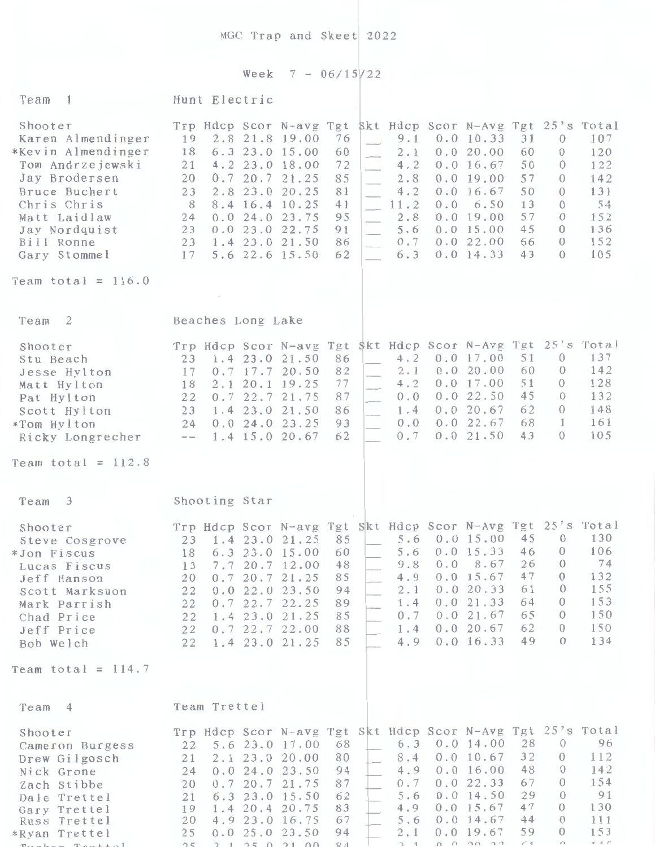MGC Trap and Skeet 2022

## Week  $7 - 06/15/22$ Team 1 Hunt Electric Shooter Trp Hdcp Scor N-avg Tgt Skt Hdcp Scor N-Avg Tgt 25's Total<br>Karen Almendinger 19 2.8 21.8 19.00 76 9.1 0.0 10.33 31 0 107 Karen Almendinger 19 2.8 21.8 19.00 76 - 9.1 0.0 10.33 31 0 107<br>Kevin Almendinger 18 6.3 23.0 15.00 60 2.1 0.0 20.00 60 0 120 \*Kevin Almendinger 18 6.3 23.0 15.00 60 2.1 0.0 20.00 60 0 120<br>Tom Andrzejewski 21 4.2 23.0 18.00 72 4.2 0.0 16.67 50 0 122 Tom Andrzejewski 4.2 23.0 18.00 day Brodersen 20 0.7 20.7 21.25 85 2.8 0.0 19.00 57 0 142<br>Bruce Buchert 23 2.8 23.0 20.25 81 4.2 0.0 16.67 50 0 131 Bruce Buchert 23 2.8 23.0 20.25 81 4.2 0.0 16.67 50 0 131<br>Chris Chris 8 8.4 16.4 10.25 41 11.2 0.0 6.50 13 0 54 Chris Chris 8 8.4 16.4 10.25 41 - 11.2 0.0 6.50 13 0<br>Matt Laidlaw 24 0.0 24.0 23.75 95 2.8 0.0 19.00 57 0 Matt Laidlaw 24 0.0 24.0 23.75 95 2.8 0.0 19.00 57<br>
Jay Nordquist 23 0.0 23.0 22.75 91 5.6 0.0 15.00 45  $\frac{152}{136}$ day Nordquist 23 0.0 23.0 22.75 91 5.6 0.0 15.00 45 0 136<br>Bill Ronne 23 1.4 23.0 21.50 86 6 0.7 0.0 22.00 66 0 152  $\begin{array}{ccccccc} 23 & 1.4 & 23.0 & 21.50 & 86 \\ 17 & 5.6 & 22.6 & 15.50 & 62 \end{array}$   $\begin{array}{ccccccc} 0.7 & & & & & \\ & & 6.3 & & & \\ & & & & & & \\ \end{array}$ 0.0 22.00 66 0 152<br>0.0 14.33 43 0 105 Gary Stommel 17 5.6 22.6 15.50 Team total =  $116.0$ Team 2 Beaches Long Lake Shooter **Trp Hdcp Scor N-avg Tgt \$kt Hdcp Scor N-Avg Tgt 25's Total** Stu Beach 23 l . 4 23.0 21.50 86 4 . ') ~ 0.0 17.00 5 1 0 137 Stu Beach<br>
Jesse Hylton 17 0.7 17.7 20.50 82 - 2.1 0.0 20.00 60 0 142<br>
Matt Hylton 18 2.1 20.1 19.25 77 - 4.2 0.0 17.00 51 0 128  $\begin{array}{ccccccc} 18 & 2.1 & 20.1 & 19.25 & 77 \\ 22 & 0.7 & 22.7 & 21.75 & 87 \end{array}$   $\begin{array}{ccccccc} 4.2 & 0.0 & 17.00 & 51 & 0 & 128 \\ 0.0 & 0.0 & 22.50 & 45 & 0 & 132 \end{array}$ Pat Hylton 22 0.7 22.7 21.75 87 0.0 0.0 22.50 45 0 132<br>Scott Hylton 23 1.4 23.0 21.50 86 1.4 0.0 20.67 62 0 148 Scott Hylton 23 1.4 23.0 21.50 86 1.4 0.0 20.67 62 0 148<br>
\*Tom Hylton 24 0.0 24.0 23.25 93 0.0 0.0 22.67 68 1 161 \*Tom Hy J ton 24 0.0 24.0 23.25 93 0.0 0.0 22.6 7 68 l 161 Ricky Longrecher --Team total =  $112.8$ Team 3 Shooting Star Shooter Trp Hdcp Scor N-avg Tgt Skt Hdcp Scor N-Avg Tgt 25's Total<br>Steve Cosgrove 23 1.4 23.0 21.25 85 5.6 0.0 15.00 45 0 130 Steve Cosgrove 23 1.4 23.0 21.25 85 5.6 0.0 15.00 45 0 130 \*Jon Fiscus 18 6.3 23.0 15.00 60 5.6 0.0 15.33 46 0 106<br>Lucas Fiscus 13 7.7 20.7 12.00 48 9.8 0.0 8.67 26 0 74 Lucas Fiscus 13 7.7 20.7 12.00 48 9.8 0.0 8.67 26 0 74<br>
Jeff Hanson 20 0.7 20.7 21.25 85 4.9 0.0 15.67 47 0 132 Jeff Hanson 20 0.7 20.7 21.25 85 4.9 0.0 15.67 47 0 132<br>Scott Marksuon 22 0.0 22.0 23.50 94 2.1 0.0 20.33 61 0 155 Scott Marksuon 22 0.0 22.0 23.50 94 2.1 0.0 20.33 61 0 155 Mark Parrish 22 0.7 22.7 22.25 89 1.4 0.0 21.33 64 0 153<br>Chad Price 22 1.4 23.0 21.25 85 0.7 0.0 21.67 65 0 150 Chad Price 22 1.4 23.0 21.25 85 0.7 0.0 21.67 65 0 150<br>
Jeff Price 22 0.7 22.7 22.00 88 1.4 0.0 20.67 62 0 150 Unau Price 22 1.4 23.0 21.23 83<br>Jeff Price 22 0.7 22.7 22.00 88 1.4 0.0 20.67 62 0 150<br>Rob Welch 22 1.4 23.0 21.25 85 4.9 0.0 16.33 49 0 134 Bob Welch 22 1. 4 23.0 21.25 85 4.9 0.0 16.33 49 0 134 Team total =  $114.7$ Team 4 Team Trettel Shooter Trp Hdcp Scor N-avg Tgt Skt Hdcp Scor N-Avg Tgt 25's Total Shooter<br>Cameron Burgess 22 5.6 23.0 17.00 68 6.3 0.0 14.00 28 0 96 Cameron Burgess<br>
Drew Gilgosch 21 2.1 23.0 20.00 80 8.4 0.0 10.67 32 0 112<br>
Nick Grone 24 0.0 24.0 23.50 94 4.9 0.0 16.00 48 0 142 Nick Grone 24 0.0 24.0 23.50 94 4.9 0.0 16.00 48 0 142<br>
Zach Stibbe 20 0.7 20.7 21.75 87 0.7 0.0 22.33 67 0 154 Zach Stibbe 20 0.7 20.7 21.75 87 0.7 0.0 22.33 67 0 154<br>
Dale Trettel 21 6.3 23.0 15.50 62 5.6 0.0 14.50 29 0 91 Dale Trettel 21 6.3 23.0 15.50 62 5.6 0.0 14.50 29 0 91 Gary Trettel 19 1.4 20.4 20.75 83 4.9 0.0 15.67 47 0 130<br>Russ Trettel 20 4.9 23.0 16.75 67 5.6 0.0 14.67 44 0 111<br>Ryan Trettel 25 0.0 25.0 23.50 94 2.1 0.0 19.67 59 0 153 Gary Trettel 19 1.4 20.4 20.75 83 4.9 0.0 15.67 47 0 130<br>
Russ Trettel 20 4.9 23.0 16.75 67 5.6 0.0 14.67 44 0 111<br>
Rvan Trettel 25 0.0 25.0 23.50 94 2.1 0.0 19.67 59 0 153

\*Ryan Trettel 25 0.0 25.0 23.50 94 2.1 0.0 19.67 59 0 153 T<sub>1</sub><br>Pucker Trettel 25 0.0 25.0 25.50 54 2.1 0.0 15.0 55 0 1.0.5<br>Pucker Trettel 25 1 25 0 21 00 84 1 1 0 0 20 22 64 0 1.4.5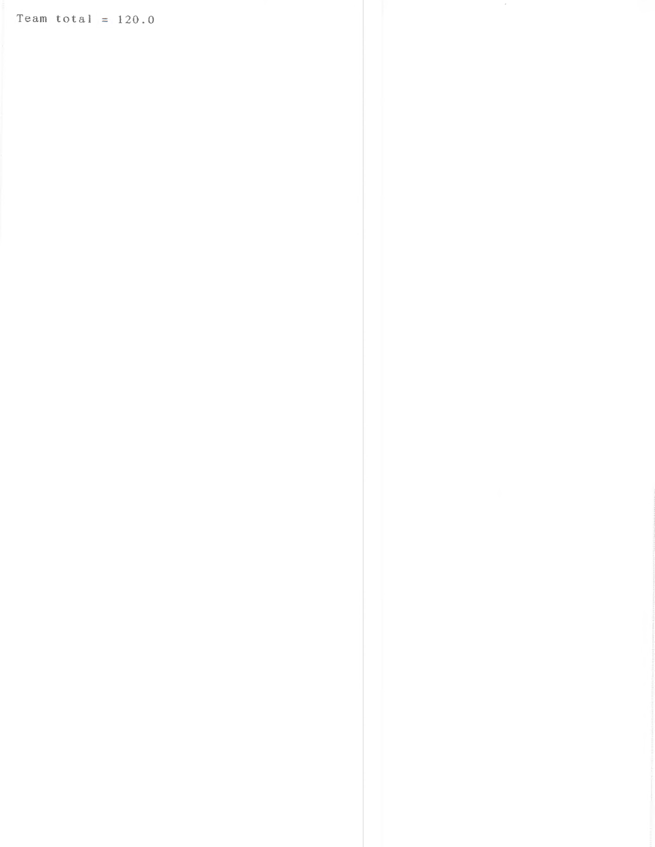Team total =  $120.0$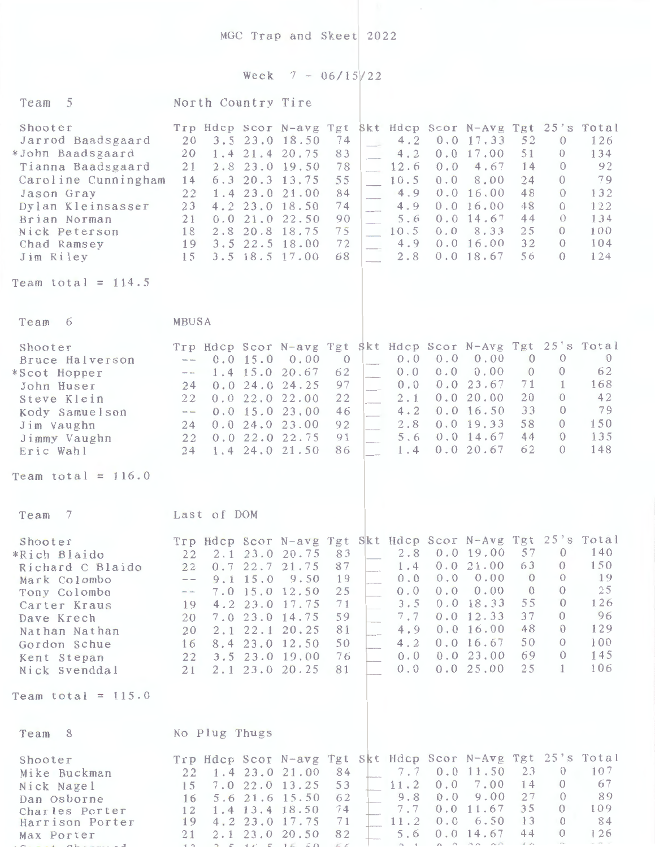MGC Trap and Skeet 2022

## Week  $7 - 06/15/22$

| Team 5                                                                                                                                                                                                               | North Country Tire                                                                                                                                                        |                                                                                                                                                                                                                       |                                                                       |                                                                                                                                          |                                                                                                                                                                                                                                                                                                                                |
|----------------------------------------------------------------------------------------------------------------------------------------------------------------------------------------------------------------------|---------------------------------------------------------------------------------------------------------------------------------------------------------------------------|-----------------------------------------------------------------------------------------------------------------------------------------------------------------------------------------------------------------------|-----------------------------------------------------------------------|------------------------------------------------------------------------------------------------------------------------------------------|--------------------------------------------------------------------------------------------------------------------------------------------------------------------------------------------------------------------------------------------------------------------------------------------------------------------------------|
| Shooter<br>Jarrod Baadsgaard<br>*John Baadsgaard<br>Tianna Baadsgaard<br>Caroline Cunningham<br>Jason Gray<br>Dylan Kleinsasser<br>Brian Norman<br>Nick Peterson<br>Chad Ramsey<br>Jim Riley<br>Team total = $114.5$ | Trp Hdcp Scor N-avg Tgt<br>20<br>1.4 21.4 20.75<br>20<br>21<br>14<br>22<br>23<br>21<br>0.0<br>2.8<br>18<br>19 3.5 22.5 18.00<br>15                                        | 3.5 23.0 18.50<br>74<br>83<br>2.8 23.0 19.50<br>78<br>55<br>$6.3$ 20.3 13.75<br>1.4 23.0 21.00<br>84<br>4.2 23.0 18.50<br>74<br>21.0 22.50<br>90<br>75<br>20.8 18.75<br>72<br>3.5 18.5 17.00<br>68                    | 4.2<br>4.2<br>12.6<br>10.5<br>4.9<br>4.9<br>5.6<br>10.5<br>4.9<br>2.8 | 0.0 17.33<br>0.0 17.00<br>0.0<br>4.67<br>0.0<br>8.00<br>0.0 16.00<br>0.0 16.00<br>$0.0$ 14.67<br>0.0<br>8.33<br>0.0 16.00<br>$0.0$ 18.67 | Skt Hdcp Scor N-Avg Tgt 25's Total<br>52<br>$\mathcal{O}$<br>126<br>51<br>134<br>$\theta$<br>14<br>92<br>$\Omega$<br>24<br>79<br>$\Omega$<br>48<br>$\bigcirc$<br>132<br>48<br>122<br>$\Omega$<br>44<br>134<br>$\Omega$<br>25<br>100<br>$\Omega$<br>32<br>104<br>$\Omega$<br>56<br>124<br>$\Omega$                              |
|                                                                                                                                                                                                                      |                                                                                                                                                                           |                                                                                                                                                                                                                       |                                                                       |                                                                                                                                          |                                                                                                                                                                                                                                                                                                                                |
| Team 6                                                                                                                                                                                                               | MBUSA                                                                                                                                                                     |                                                                                                                                                                                                                       |                                                                       |                                                                                                                                          |                                                                                                                                                                                                                                                                                                                                |
| Shooter<br>Bruce Halverson<br>*Scot Hopper<br>John Huser<br>Steve Klein<br>Kody Samuelson<br>Jim Vaughn<br>Jimmy Vaughn<br>Eric Wahl                                                                                 | $-- 0.015.0 0.00$<br>$1.4$ 15.0 20.67<br>$\frac{1}{2}$ and $\frac{1}{2}$<br>24<br>22<br>$\hspace{1.5cm} \cdots$ $\hspace{1.5cm} \cdots$<br>24<br>22<br>0.022.022.75<br>24 | $\overline{0}$<br>62<br>0.024.024.25<br>97<br>0.022.022.00<br>22<br>$0.0$ 15.0 23.00<br>46<br>0.024.023.00<br>92<br>91<br>86<br>1.4 24.0 21.50                                                                        | 0.0<br>0.0<br>0.0<br>2.1<br>4:2<br>2.8<br>5.6<br>1.4                  | 0.0<br>0.00<br>0.0<br>0.00<br>0.023.67<br>0.0 20.00<br>0.0 16.50<br>0.019.33<br>$0.0$ 14.67<br>0.0 20.67                                 | Trp Hdcp Scor N-avg Tgt Skt Hdcp Scor N-Avg Tgt 25's Total<br>$\overline{0}$<br>$\theta$<br>$\mathcal{O}$<br>62<br>$\overline{0}$<br>$\theta$<br>71<br>168<br>$\mathbf{1}$<br>20<br>42<br>$\Omega$<br>33<br>79<br>$\theta$<br>58<br>150<br>$\Omega$<br>44<br>135<br>$\theta$<br>62<br>148<br>$\Omega$                          |
| Team total = $116.0$                                                                                                                                                                                                 |                                                                                                                                                                           |                                                                                                                                                                                                                       |                                                                       |                                                                                                                                          |                                                                                                                                                                                                                                                                                                                                |
| $\overline{7}$<br>Team                                                                                                                                                                                               | Last of DOM                                                                                                                                                               |                                                                                                                                                                                                                       |                                                                       |                                                                                                                                          |                                                                                                                                                                                                                                                                                                                                |
| Shooter<br>*Rich Blaido<br>Richard C Blaido<br>Mark Colombo<br>Tony Colombo<br>Carter Kraus<br>Dave Krech<br>Nathan Nathan<br>Gordon Schue<br>Kent Stepan<br>Nick Svenddal                                           | 22<br>0.722.7<br>22<br>$9.1 \t15.0$<br>$\frac{1}{2}$<br>19<br>20<br>20<br>2.1<br>16<br>22<br>21                                                                           | 83<br>2.1 23.0 20.75<br>87<br>21.75<br>9.50<br>19<br>25<br>7.0 15.0 12.50<br>71<br>4.2 23.0 17.75<br>59<br>7.0 23.0 14.75<br>81<br>22.1 20.25<br>50<br>8.4 23.0 12.50<br>76<br>3.5 23.0 19.00<br>2.1 23.0 20.25<br>81 | 2.8<br>1.4<br>0.0<br>0.0<br>3.5<br>7.7<br>4.9<br>4.2<br>0.0<br>0.0    | 0.019.00<br>0.021.00<br>0.00<br>0.0<br>0.0<br>0.00<br>0.0 18.33<br>0.0 12.33<br>0.016.00<br>0.0 16.67<br>0.023.00<br>0.025.00            | Trp Hdcp Scor N-avg Tgt Skt Hdcp Scor N-Avg Tgt 25's Total<br>57<br>$\theta$<br>140<br>63<br>$\theta$<br>150<br>19<br>$\mathbf{0}$<br>$\theta$<br>25<br>$\theta$<br>$\Omega$<br>55<br>126<br>$\Omega$<br>37<br>96<br>0<br>48<br>129<br>$\theta$<br>100<br>50<br>$\Omega$<br>145<br>69<br>$\theta$<br>25<br>106<br>$\mathbf{1}$ |
| Team total = $115.0$                                                                                                                                                                                                 |                                                                                                                                                                           |                                                                                                                                                                                                                       |                                                                       |                                                                                                                                          |                                                                                                                                                                                                                                                                                                                                |
| Team 8                                                                                                                                                                                                               | No Plug Thugs                                                                                                                                                             |                                                                                                                                                                                                                       |                                                                       |                                                                                                                                          |                                                                                                                                                                                                                                                                                                                                |
| Shooter<br>Mike Buckman<br>Nick Nagel<br>Dan Osborne<br>Charles Porter<br>Harrison Porter<br>Max Porter                                                                                                              | 22<br>15<br>16<br>12<br>19<br>21                                                                                                                                          | 84<br>1.4 23.0 21.00<br>53<br>7.0 22.0 13.25<br>62<br>5.6 21.6 15.50<br>74<br>1.4 13.4 18.50<br>4.2 23.0 17.75<br>71<br>82<br>2.1 23.0 20.50                                                                          | 7.7<br>11.2<br>9.8<br>7.7<br>11.2<br>5.6                              | 0.011.50<br>0.0<br>7.00<br>9.00<br>0.0<br>0.011.67<br>0.0<br>6.50<br>$0.0$ 14.67                                                         | Trp Hdcp Scor N-avg Tgt Skt Hdcp Scor N-Avg Tgt 25's Total<br>107<br>23<br>$\Omega$<br>14<br>67<br>$\theta$<br>27<br>89<br>$\theta$<br>35<br>$\Omega$<br>109<br>13<br>$\theta$<br>84<br>44<br>$\Omega$<br>126                                                                                                                  |

x x

2.5.6.6.6.6.

 $i.e.$ 

 $4 - 25$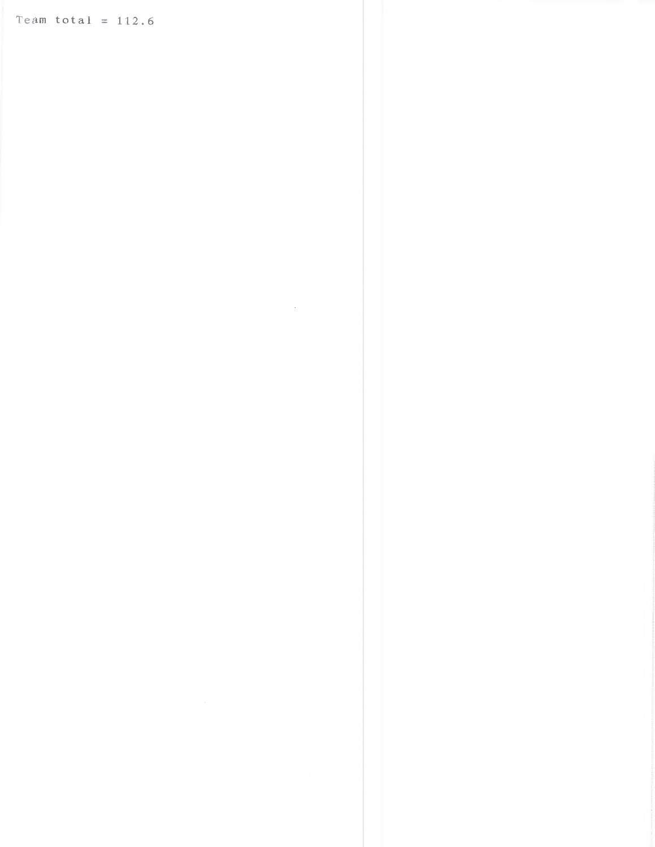Team total =  $112.6$ 

 $\label{eq:2.1} \frac{1}{\sqrt{2}}\int_{\mathbb{R}^3}\frac{1}{\sqrt{2}}\left(\frac{1}{\sqrt{2}}\right)^2\frac{1}{\sqrt{2}}\left(\frac{1}{\sqrt{2}}\right)^2\frac{1}{\sqrt{2}}\left(\frac{1}{\sqrt{2}}\right)^2\frac{1}{\sqrt{2}}\left(\frac{1}{\sqrt{2}}\right)^2.$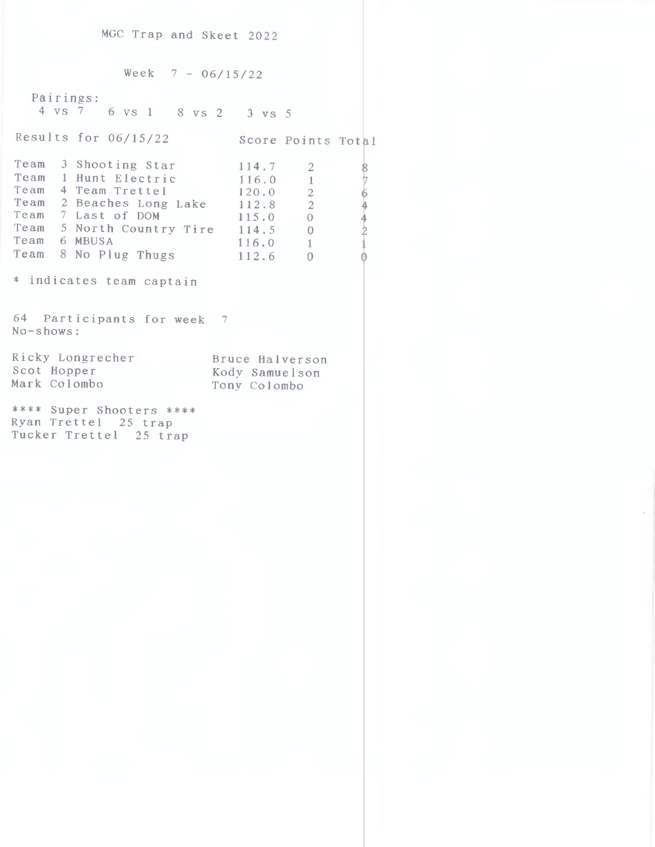MGC Trap and Skeet 2022

 $Week$  7 - 06/15/22 Pairings: 4 VS 7 6 VS l 8 VS 2 3 VS 5 Results for  $06/15/22$  Score Points Total Team 3 Shooting Star Team 1 Hunt Electric Team 4 Team Trettel Team 2 Beaches Long Lake Team 7 Last of DOM Team 5 North Country Tire Team 6 MBUSA Team 8 No Plug Thugs 112.6 \* indicates team captain 64 Participants for week <sup>7</sup> No-shows: 114. 7 116.0 120.0 112.8 1 l 5. 0 114.5 116. 0  $\overline{2}$ l 2 2  $\overline{0}$ 0 l  $\overline{0}$ Ricky Longrecher Scot Hopper Mark Colombo Bruce Halverson Kody Samuelson Tony Colombo \*\*\*\* Super Shooters \*\*\*\* Ryan Trettel 25 trap Tucker Trettel 25 trap 8 7 6 4  $\frac{4}{2}$ i ~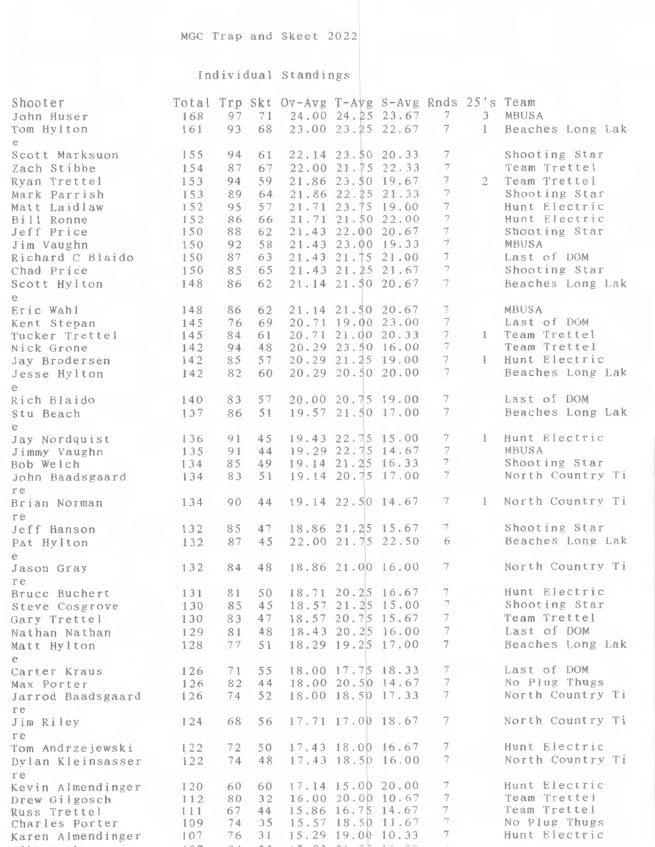## Individual Standings

| Shooter<br>John Huser<br>Tom Hylton                                                                                                                                            | 168<br>161                                                                | 97<br>93                                                       | 71<br>68                                                       | Total Trp Skt Ov-Avg T-Avg S-Avg Rnds 25's Team | 24.00 24.25 23.67<br>23.00 23.25 22.67                                                                                                                                                                                              | 7<br>$\tau$                                         | $\mathcal{F}$<br>$\mathbf{1}$ | MBUSA<br>Beaches Long Lak                                                                                                                                                      |
|--------------------------------------------------------------------------------------------------------------------------------------------------------------------------------|---------------------------------------------------------------------------|----------------------------------------------------------------|----------------------------------------------------------------|-------------------------------------------------|-------------------------------------------------------------------------------------------------------------------------------------------------------------------------------------------------------------------------------------|-----------------------------------------------------|-------------------------------|--------------------------------------------------------------------------------------------------------------------------------------------------------------------------------|
| e<br>Scott Marksuon<br>Zach Stibbe<br>Ryan Trettel<br>Mark Parrish<br>Matt Laidlaw<br>Bill Ronne<br>Jeff Price<br>Jim Vaughn<br>Richard C Blaido<br>Chad Price<br>Scott Hylton | 155<br>154<br>153<br>153<br>152<br>152<br>150<br>150<br>150<br>150<br>148 | 94<br>87<br>94<br>89<br>95<br>86<br>88<br>92<br>87<br>85<br>86 | 61<br>67<br>59<br>64<br>57<br>66<br>62<br>58<br>63<br>65<br>62 |                                                 | 22.14 23.50 20.33<br>22.00 21.75 22.33<br>21.86 23.50 19.67<br>21.86 22.25 21.33<br>21.71 23.75 19.00<br>21.71 21.50 22.00<br>21.43 22.00 20.67<br>21.43 23.00 19.33<br>21.43 21.75 21.00<br>21.43 21.25 21.67<br>21.14 21.50 20.67 | 7<br>7<br>7<br>7<br>7<br>7<br>7<br>7<br>7<br>7<br>7 | $\overline{2}$                | Shooting Star<br>Team Trettel<br>Team Trettel<br>Shooting Star<br>Hunt Electric<br>Hunt Electric<br>Shooting Star<br>MBUSA<br>Last of DOM<br>Shooting Star<br>Beaches Long Lak |
| e<br>Eric Wahl<br>Kent Stepan<br>Tucker Trettel<br>Nick Grone<br>Jay Brodersen<br>Jesse Hylton<br>e                                                                            | 148<br>145<br>145<br>142<br>142<br>142                                    | 86<br>76<br>84<br>94<br>85<br>82                               | 62<br>69<br>61<br>48<br>57<br>60                               |                                                 | 21.14 21.50 20.67<br>20.71 19.00 23.00<br>20.71 21.00 20.33<br>20.29 23.50 16.00<br>20.29 21.25 19.00<br>20.29 20.50 20.00                                                                                                          | $\tau$<br>$\overline{7}$<br>7<br>7<br>7<br>7        | $\mathbf{1}$<br>$\mathbb{I}$  | MBUSA<br>Last of DOM<br>Team Trettel<br>Team Trettel<br>Hunt Electric<br>Beaches Long Lak                                                                                      |
| Rich Blaido<br>Stu Beach                                                                                                                                                       | 140<br>137                                                                | 83<br>86                                                       | 57<br>51                                                       |                                                 | 20.00 20.75 19.00<br>19.57 21.50 17.00                                                                                                                                                                                              | 7<br>$\overline{7}$                                 |                               | Last of DOM<br>Beaches Long Lak                                                                                                                                                |
| e<br>Jay Nordquist<br>Jimmy Vaughn<br>Bob Welch<br>John Baadsgaard                                                                                                             | 136<br>135<br>134<br>134                                                  | 91<br>91<br>85<br>83                                           | 45<br>44<br>49<br>51                                           |                                                 | 19.43 22.75 15.00<br>19.29 22.75 14.67<br>19.14 21.25 16.33<br>19.14 20.75 17.00                                                                                                                                                    | 7<br>$\overline{7}$<br>7<br>7                       | $\mathbf{1}$                  | Hunt Electric<br>MBUSA<br>Shooting Star<br>North Country Ti                                                                                                                    |
| re<br>Brian Norman<br>re                                                                                                                                                       | 134                                                                       | 90                                                             | 44                                                             |                                                 | 19.14 22.50 14.67                                                                                                                                                                                                                   | 7                                                   | $\mathbf{1}$                  | North Country Ti                                                                                                                                                               |
| Jeff Hanson<br>Pat Hylton                                                                                                                                                      | 132<br>132                                                                | 85<br>87                                                       | 47<br>45                                                       |                                                 | 18.86 21.25 15.67<br>22.00 21.75 22.50                                                                                                                                                                                              | 7<br>6                                              |                               | Shooting Star<br>Beaches Long Lak                                                                                                                                              |
| e<br>Jason Gray<br>re                                                                                                                                                          | 132                                                                       | 84                                                             | 48                                                             |                                                 | 18.86 21.00 16.00                                                                                                                                                                                                                   | 7                                                   |                               | North Country Ti                                                                                                                                                               |
| Bruce Buchert<br>Steve Cosgrove<br>Gary Trettel<br>Nathan Nathan<br>Matt Hylton                                                                                                | 131<br>130<br>130<br>129<br>128                                           | 81<br>85<br>83<br>81<br>77                                     | 50<br>45<br>47<br>48<br>51                                     |                                                 | 18.71 20.25 16.67<br>18.57 21.25 15.00<br>18.57 20.75 15.67<br>18.43 20.25 16.00<br>18.29 19.25 17.00                                                                                                                               | 7<br>7<br>7<br>7<br>$7\phantom{.0}$                 |                               | Hunt Electric<br>Shooting Star<br>Team Trettel<br>Last of DOM<br>Beaches Long Lak                                                                                              |
| e<br>Carter Kraus<br>Max Porter<br>Jarrod Baadsgaard<br>re                                                                                                                     | 126<br>126<br>126                                                         | 71<br>82<br>74                                                 | 55<br>44<br>52                                                 |                                                 | 18.00 17.75 18.33<br>18.00 20.50 14.67<br>18.00 18.50 17.33                                                                                                                                                                         | 7<br>7<br>7                                         |                               | Last of DOM<br>No Plug Thugs<br>North Country Ti                                                                                                                               |
| Jim Riley<br>re                                                                                                                                                                | 124                                                                       | 68                                                             | 56                                                             |                                                 | 17.71 17.00 18.67                                                                                                                                                                                                                   | 7                                                   |                               | North Country Ti                                                                                                                                                               |
| Tom Andrzejewski<br>Dylan Kleinsasser                                                                                                                                          | 122<br>122                                                                | 72<br>74                                                       | 50<br>48                                                       |                                                 | 17.43 18.00 16.67<br>17.43 18.50 16.00                                                                                                                                                                                              | 7<br>7                                              |                               | Hunt Electric<br>North Country Ti                                                                                                                                              |
| re<br>Kevin Almendinger<br>Drew Gilgosch<br>Russ Trettel<br>Charles Porter<br>Karen Almendinger                                                                                | 120<br>112<br>111<br>109<br>107                                           | 60<br>80<br>67<br>74<br>76                                     | 60<br>32<br>44<br>35<br>31                                     |                                                 | 17.14 15.00 20.00<br>16.00 20.00 10.67<br>15.86 16.75 14.67<br>15.57 18.50 11.67<br>15.29 19.00 10.33                                                                                                                               | 7<br>7<br>7<br>7<br>7                               |                               | Hunt Electric<br>Team Trettel<br>Team Trettel<br>No Plug Thugs<br>Hunt Electric                                                                                                |